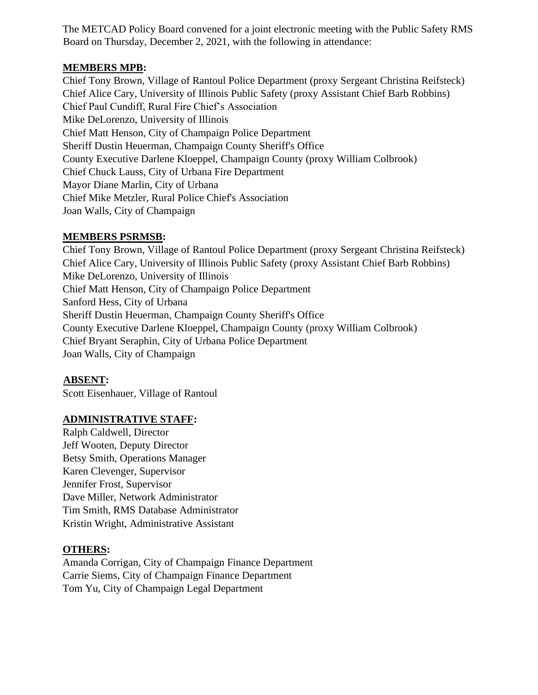The METCAD Policy Board convened for a joint electronic meeting with the Public Safety RMS Board on Thursday, December 2, 2021, with the following in attendance:

### **MEMBERS MPB:**

Chief Tony Brown, Village of Rantoul Police Department (proxy Sergeant Christina Reifsteck) Chief Alice Cary, University of Illinois Public Safety (proxy Assistant Chief Barb Robbins) Chief Paul Cundiff, Rural Fire Chief's Association Mike DeLorenzo, University of Illinois Chief Matt Henson, City of Champaign Police Department Sheriff Dustin Heuerman, Champaign County Sheriff's Office County Executive Darlene Kloeppel, Champaign County (proxy William Colbrook) Chief Chuck Lauss, City of Urbana Fire Department Mayor Diane Marlin, City of Urbana Chief Mike Metzler, Rural Police Chief's Association Joan Walls, City of Champaign

## **MEMBERS PSRMSB:**

Chief Tony Brown, Village of Rantoul Police Department (proxy Sergeant Christina Reifsteck) Chief Alice Cary, University of Illinois Public Safety (proxy Assistant Chief Barb Robbins) Mike DeLorenzo, University of Illinois Chief Matt Henson, City of Champaign Police Department Sanford Hess, City of Urbana Sheriff Dustin Heuerman, Champaign County Sheriff's Office County Executive Darlene Kloeppel, Champaign County (proxy William Colbrook) Chief Bryant Seraphin, City of Urbana Police Department Joan Walls, City of Champaign

### **ABSENT:**

Scott Eisenhauer, Village of Rantoul

# **ADMINISTRATIVE STAFF:**

Ralph Caldwell, Director Jeff Wooten, Deputy Director Betsy Smith, Operations Manager Karen Clevenger, Supervisor Jennifer Frost, Supervisor Dave Miller, Network Administrator Tim Smith, RMS Database Administrator Kristin Wright, Administrative Assistant

### **OTHERS:**

Amanda Corrigan, City of Champaign Finance Department Carrie Siems, City of Champaign Finance Department Tom Yu, City of Champaign Legal Department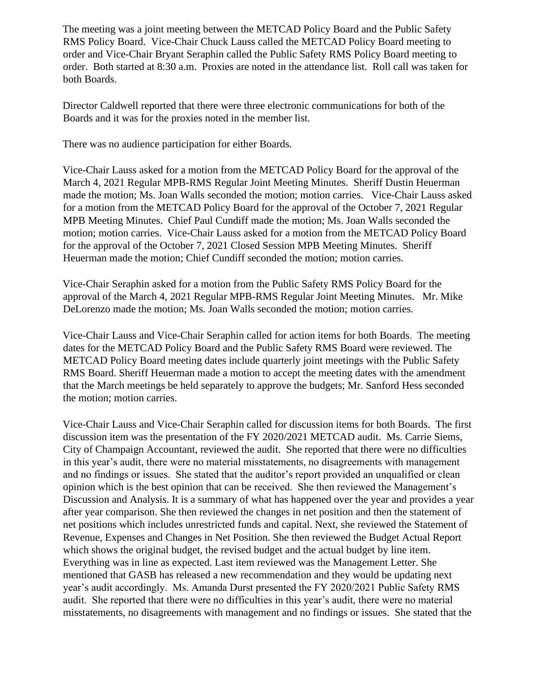The meeting was a joint meeting between the METCAD Policy Board and the Public Safety RMS Policy Board. Vice-Chair Chuck Lauss called the METCAD Policy Board meeting to order and Vice-Chair Bryant Seraphin called the Public Safety RMS Policy Board meeting to order. Both started at 8:30 a.m. Proxies are noted in the attendance list. Roll call was taken for both Boards.

Director Caldwell reported that there were three electronic communications for both of the Boards and it was for the proxies noted in the member list.

There was no audience participation for either Boards.

Vice-Chair Lauss asked for a motion from the METCAD Policy Board for the approval of the March 4, 2021 Regular MPB-RMS Regular Joint Meeting Minutes. Sheriff Dustin Heuerman made the motion; Ms. Joan Walls seconded the motion; motion carries. Vice-Chair Lauss asked for a motion from the METCAD Policy Board for the approval of the October 7, 2021 Regular MPB Meeting Minutes. Chief Paul Cundiff made the motion; Ms. Joan Walls seconded the motion; motion carries. Vice-Chair Lauss asked for a motion from the METCAD Policy Board for the approval of the October 7, 2021 Closed Session MPB Meeting Minutes. Sheriff Heuerman made the motion; Chief Cundiff seconded the motion; motion carries.

Vice-Chair Seraphin asked for a motion from the Public Safety RMS Policy Board for the approval of the March 4, 2021 Regular MPB-RMS Regular Joint Meeting Minutes. Mr. Mike DeLorenzo made the motion; Ms. Joan Walls seconded the motion; motion carries.

Vice-Chair Lauss and Vice-Chair Seraphin called for action items for both Boards. The meeting dates for the METCAD Policy Board and the Public Safety RMS Board were reviewed. The METCAD Policy Board meeting dates include quarterly joint meetings with the Public Safety RMS Board. Sheriff Heuerman made a motion to accept the meeting dates with the amendment that the March meetings be held separately to approve the budgets; Mr. Sanford Hess seconded the motion; motion carries.

Vice-Chair Lauss and Vice-Chair Seraphin called for discussion items for both Boards. The first discussion item was the presentation of the FY 2020/2021 METCAD audit. Ms. Carrie Siems, City of Champaign Accountant, reviewed the audit. She reported that there were no difficulties in this year's audit, there were no material misstatements, no disagreements with management and no findings or issues. She stated that the auditor's report provided an unqualified or clean opinion which is the best opinion that can be received. She then reviewed the Management's Discussion and Analysis. It is a summary of what has happened over the year and provides a year after year comparison. She then reviewed the changes in net position and then the statement of net positions which includes unrestricted funds and capital. Next, she reviewed the Statement of Revenue, Expenses and Changes in Net Position. She then reviewed the Budget Actual Report which shows the original budget, the revised budget and the actual budget by line item. Everything was in line as expected. Last item reviewed was the Management Letter. She mentioned that GASB has released a new recommendation and they would be updating next year's audit accordingly. Ms. Amanda Durst presented the FY 2020/2021 Public Safety RMS audit. She reported that there were no difficulties in this year's audit, there were no material misstatements, no disagreements with management and no findings or issues. She stated that the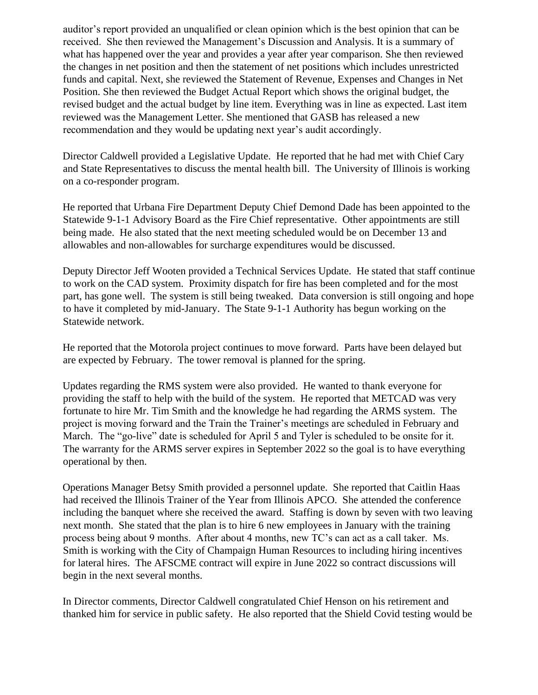auditor's report provided an unqualified or clean opinion which is the best opinion that can be received. She then reviewed the Management's Discussion and Analysis. It is a summary of what has happened over the year and provides a year after year comparison. She then reviewed the changes in net position and then the statement of net positions which includes unrestricted funds and capital. Next, she reviewed the Statement of Revenue, Expenses and Changes in Net Position. She then reviewed the Budget Actual Report which shows the original budget, the revised budget and the actual budget by line item. Everything was in line as expected. Last item reviewed was the Management Letter. She mentioned that GASB has released a new recommendation and they would be updating next year's audit accordingly.

Director Caldwell provided a Legislative Update. He reported that he had met with Chief Cary and State Representatives to discuss the mental health bill. The University of Illinois is working on a co-responder program.

He reported that Urbana Fire Department Deputy Chief Demond Dade has been appointed to the Statewide 9-1-1 Advisory Board as the Fire Chief representative. Other appointments are still being made. He also stated that the next meeting scheduled would be on December 13 and allowables and non-allowables for surcharge expenditures would be discussed.

Deputy Director Jeff Wooten provided a Technical Services Update. He stated that staff continue to work on the CAD system. Proximity dispatch for fire has been completed and for the most part, has gone well. The system is still being tweaked. Data conversion is still ongoing and hope to have it completed by mid-January. The State 9-1-1 Authority has begun working on the Statewide network.

He reported that the Motorola project continues to move forward. Parts have been delayed but are expected by February. The tower removal is planned for the spring.

Updates regarding the RMS system were also provided. He wanted to thank everyone for providing the staff to help with the build of the system. He reported that METCAD was very fortunate to hire Mr. Tim Smith and the knowledge he had regarding the ARMS system. The project is moving forward and the Train the Trainer's meetings are scheduled in February and March. The "go-live" date is scheduled for April 5 and Tyler is scheduled to be onsite for it. The warranty for the ARMS server expires in September 2022 so the goal is to have everything operational by then.

Operations Manager Betsy Smith provided a personnel update. She reported that Caitlin Haas had received the Illinois Trainer of the Year from Illinois APCO. She attended the conference including the banquet where she received the award. Staffing is down by seven with two leaving next month. She stated that the plan is to hire 6 new employees in January with the training process being about 9 months. After about 4 months, new TC's can act as a call taker. Ms. Smith is working with the City of Champaign Human Resources to including hiring incentives for lateral hires. The AFSCME contract will expire in June 2022 so contract discussions will begin in the next several months.

In Director comments, Director Caldwell congratulated Chief Henson on his retirement and thanked him for service in public safety. He also reported that the Shield Covid testing would be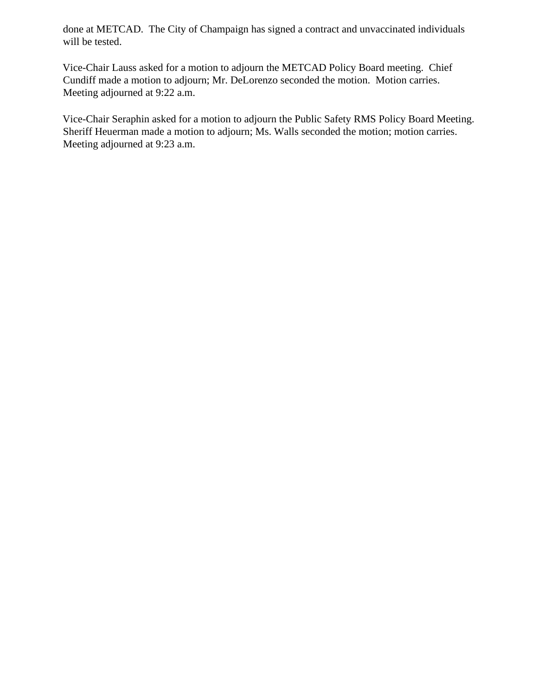done at METCAD. The City of Champaign has signed a contract and unvaccinated individuals will be tested.

Vice-Chair Lauss asked for a motion to adjourn the METCAD Policy Board meeting. Chief Cundiff made a motion to adjourn; Mr. DeLorenzo seconded the motion. Motion carries. Meeting adjourned at 9:22 a.m.

Vice-Chair Seraphin asked for a motion to adjourn the Public Safety RMS Policy Board Meeting. Sheriff Heuerman made a motion to adjourn; Ms. Walls seconded the motion; motion carries. Meeting adjourned at 9:23 a.m.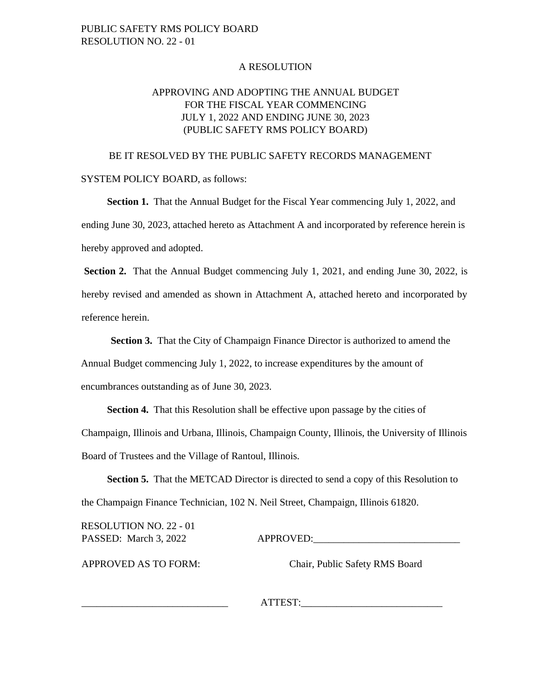#### A RESOLUTION

### APPROVING AND ADOPTING THE ANNUAL BUDGET FOR THE FISCAL YEAR COMMENCING JULY 1, 2022 AND ENDING JUNE 30, 2023 (PUBLIC SAFETY RMS POLICY BOARD)

#### BE IT RESOLVED BY THE PUBLIC SAFETY RECORDS MANAGEMENT

SYSTEM POLICY BOARD, as follows:

**Section 1.** That the Annual Budget for the Fiscal Year commencing July 1, 2022, and ending June 30, 2023, attached hereto as Attachment A and incorporated by reference herein is hereby approved and adopted.

**Section 2.** That the Annual Budget commencing July 1, 2021, and ending June 30, 2022, is hereby revised and amended as shown in Attachment A, attached hereto and incorporated by reference herein.

**Section 3.** That the City of Champaign Finance Director is authorized to amend the Annual Budget commencing July 1, 2022, to increase expenditures by the amount of

encumbrances outstanding as of June 30, 2023.

**Section 4.** That this Resolution shall be effective upon passage by the cities of Champaign, Illinois and Urbana, Illinois, Champaign County, Illinois, the University of Illinois Board of Trustees and the Village of Rantoul, Illinois.

**Section 5.** That the METCAD Director is directed to send a copy of this Resolution to the Champaign Finance Technician, 102 N. Neil Street, Champaign, Illinois 61820.

RESOLUTION NO. 22 - 01

PASSED: March 3, 2022 APPROVED:

APPROVED AS TO FORM: Chair, Public Safety RMS Board

\_\_\_\_\_\_\_\_\_\_\_\_\_\_\_\_\_\_\_\_\_\_\_\_\_\_\_\_\_ ATTEST:\_\_\_\_\_\_\_\_\_\_\_\_\_\_\_\_\_\_\_\_\_\_\_\_\_\_\_\_